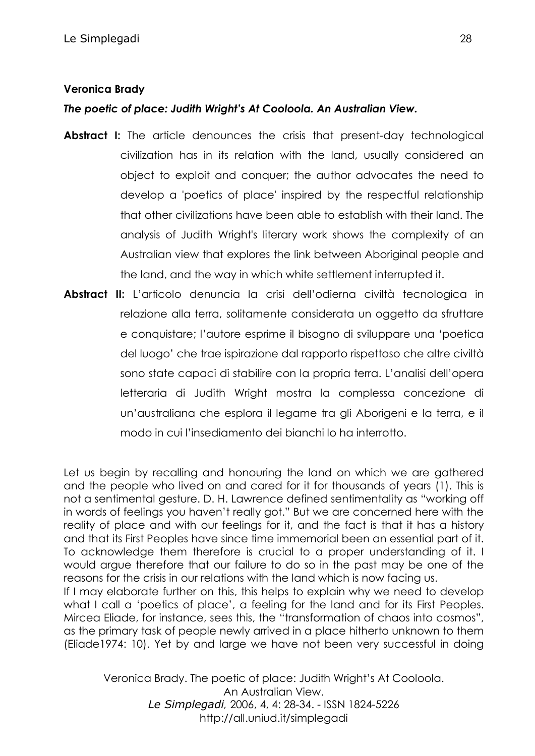## **Veronica Brady**

## *The poetic of place: Judith Wright's At Cooloola. An Australian View.*

- **Abstract I:** The article denounces the crisis that present-day technological civilization has in its relation with the land, usually considered an object to exploit and conquer; the author advocates the need to develop a 'poetics of place' inspired by the respectful relationship that other civilizations have been able to establish with their land. The analysis of Judith Wright's literary work shows the complexity of an Australian view that explores the link between Aboriginal people and the land, and the way in which white settlement interrupted it.
- **Abstract II:** L'articolo denuncia la crisi dell'odierna civiltà tecnologica in relazione alla terra, solitamente considerata un oggetto da sfruttare e conquistare; l'autore esprime il bisogno di sviluppare una 'poetica del luogo' che trae ispirazione dal rapporto rispettoso che altre civiltà sono state capaci di stabilire con la propria terra. L'analisi dell'opera letteraria di Judith Wright mostra la complessa concezione di un'australiana che esplora il legame tra gli Aborigeni e la terra, e il modo in cui l'insediamento dei bianchi lo ha interrotto.

Let us begin by recalling and honouring the land on which we are gathered and the people who lived on and cared for it for thousands of years (1). This is not a sentimental gesture. D. H. Lawrence defined sentimentality as "working off in words of feelings you haven't really got." But we are concerned here with the reality of place and with our feelings for it, and the fact is that it has a history and that its First Peoples have since time immemorial been an essential part of it. To acknowledge them therefore is crucial to a proper understanding of it. I would argue therefore that our failure to do so in the past may be one of the reasons for the crisis in our relations with the land which is now facing us. If I may elaborate further on this, this helps to explain why we need to develop what I call a 'poetics of place', a feeling for the land and for its First Peoples. Mircea Eliade, for instance, sees this, the "transformation of chaos into cosmos", as the primary task of people newly arrived in a place hitherto unknown to them (Eliade1974: 10). Yet by and large we have not been very successful in doing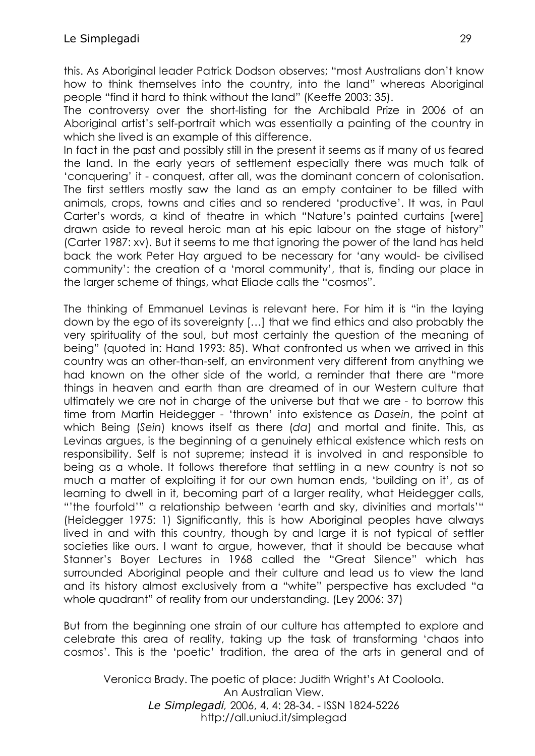this. As Aboriginal leader Patrick Dodson observes; "most Australians don't know how to think themselves into the country, into the land" whereas Aboriginal people "find it hard to think without the land" (Keeffe 2003: 35).

The controversy over the short-listing for the Archibald Prize in 2006 of an Aboriginal artist's self-portrait which was essentially a painting of the country in which she lived is an example of this difference.

In fact in the past and possibly still in the present it seems as if many of us feared the land. In the early years of settlement especially there was much talk of 'conquering' it - conquest, after all, was the dominant concern of colonisation. The first settlers mostly saw the land as an empty container to be filled with animals, crops, towns and cities and so rendered 'productive'. It was, in Paul Carter's words, a kind of theatre in which "Nature's painted curtains [were] drawn aside to reveal heroic man at his epic labour on the stage of history" (Carter 1987: xv). But it seems to me that ignoring the power of the land has held back the work Peter Hay argued to be necessary for 'any would- be civilised community': the creation of a 'moral community', that is, finding our place in the larger scheme of things, what Eliade calls the "cosmos".

The thinking of Emmanuel Levinas is relevant here. For him it is "in the laying down by the ego of its sovereignty […] that we find ethics and also probably the very spirituality of the soul, but most certainly the question of the meaning of being" (quoted in: Hand 1993: 85). What confronted us when we arrived in this country was an other-than-self, an environment very different from anything we had known on the other side of the world, a reminder that there are "more things in heaven and earth than are dreamed of in our Western culture that ultimately we are not in charge of the universe but that we are - to borrow this time from Martin Heidegger - 'thrown' into existence as *Dasein*, the point at which Being (*Sein*) knows itself as there (*da*) and mortal and finite. This, as Levinas argues, is the beginning of a genuinely ethical existence which rests on responsibility. Self is not supreme; instead it is involved in and responsible to being as a whole. It follows therefore that settling in a new country is not so much a matter of exploiting it for our own human ends, 'building on it', as of learning to dwell in it, becoming part of a larger reality, what Heidegger calls, "'the fourfold'" a relationship between 'earth and sky, divinities and mortals'" (Heidegger 1975: 1) Significantly, this is how Aboriginal peoples have always lived in and with this country, though by and large it is not typical of settler societies like ours. I want to argue, however, that it should be because what Stanner's Boyer Lectures in 1968 called the "Great Silence" which has surrounded Aboriginal people and their culture and lead us to view the land and its history almost exclusively from a "white" perspective has excluded "a whole quadrant" of reality from our understanding. (Ley 2006: 37)

But from the beginning one strain of our culture has attempted to explore and celebrate this area of reality, taking up the task of transforming 'chaos into cosmos'. This is the 'poetic' tradition, the area of the arts in general and of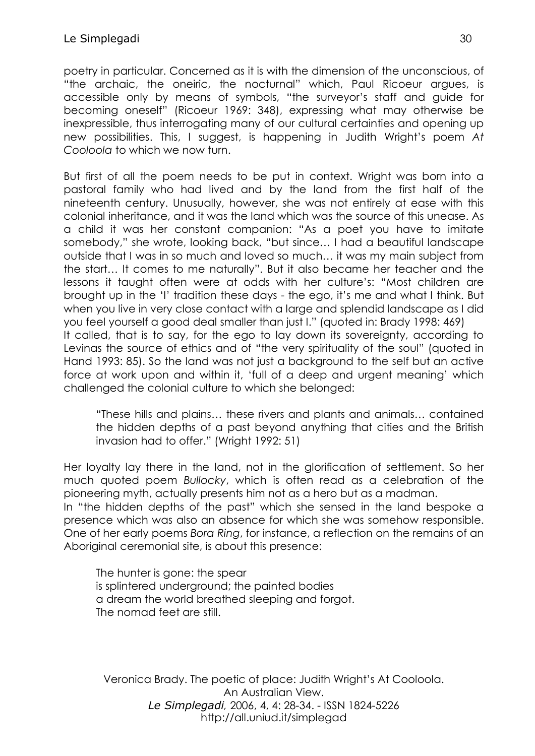poetry in particular. Concerned as it is with the dimension of the unconscious, of "the archaic, the oneiric, the nocturnal" which, Paul Ricoeur argues, is accessible only by means of symbols, "the surveyor's staff and guide for becoming oneself" (Ricoeur 1969: 348), expressing what may otherwise be inexpressible, thus interrogating many of our cultural certainties and opening up new possibilities. This, I suggest, is happening in Judith Wright's poem *At Cooloola* to which we now turn.

But first of all the poem needs to be put in context. Wright was born into a pastoral family who had lived and by the land from the first half of the nineteenth century. Unusually, however, she was not entirely at ease with this colonial inheritance, and it was the land which was the source of this unease. As a child it was her constant companion: "As a poet you have to imitate somebody," she wrote, looking back, "but since… I had a beautiful landscape outside that I was in so much and loved so much… it was my main subject from the start… It comes to me naturally". But it also became her teacher and the lessons it taught often were at odds with her culture's: "Most children are brought up in the 'I' tradition these days - the ego, it's me and what I think. But when you live in very close contact with a large and splendid landscape as I did you feel yourself a good deal smaller than just I." (quoted in: Brady 1998: 469) It called, that is to say, for the ego to lay down its sovereignty, according to Levinas the source of ethics and of "the very spirituality of the soul" (quoted in Hand 1993: 85). So the land was not just a background to the self but an active force at work upon and within it, 'full of a deep and urgent meaning' which challenged the colonial culture to which she belonged:

"These hills and plains… these rivers and plants and animals… contained the hidden depths of a past beyond anything that cities and the British invasion had to offer." (Wright 1992: 51)

Her loyalty lay there in the land, not in the glorification of settlement. So her much quoted poem *Bullocky*, which is often read as a celebration of the pioneering myth, actually presents him not as a hero but as a madman.

In "the hidden depths of the past" which she sensed in the land bespoke a presence which was also an absence for which she was somehow responsible. One of her early poems *Bora Ring*, for instance, a reflection on the remains of an Aboriginal ceremonial site, is about this presence:

The hunter is gone: the spear is splintered underground; the painted bodies a dream the world breathed sleeping and forgot. The nomad feet are still.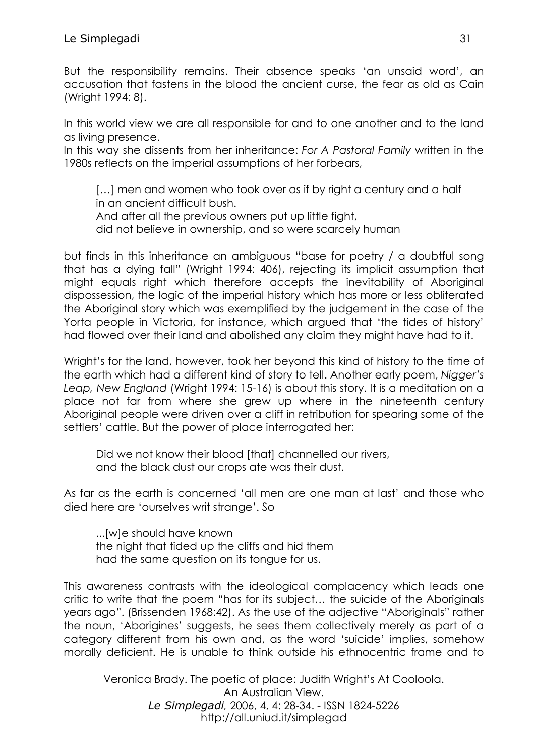But the responsibility remains. Their absence speaks 'an unsaid word', an accusation that fastens in the blood the ancient curse, the fear as old as Cain (Wright 1994: 8).

In this world view we are all responsible for and to one another and to the land as living presence.

In this way she dissents from her inheritance: *For A Pastoral Family* written in the 1980s reflects on the imperial assumptions of her forbears,

[...] men and women who took over as if by right a century and a half in an ancient difficult bush.

And after all the previous owners put up little fight,

did not believe in ownership, and so were scarcely human

but finds in this inheritance an ambiguous "base for poetry / a doubtful song that has a dying fall" (Wright 1994: 406), rejecting its implicit assumption that might equals right which therefore accepts the inevitability of Aboriginal dispossession, the logic of the imperial history which has more or less obliterated the Aboriginal story which was exemplified by the judgement in the case of the Yorta people in Victoria, for instance, which argued that 'the tides of history' had flowed over their land and abolished any claim they might have had to it.

Wright's for the land, however, took her beyond this kind of history to the time of the earth which had a different kind of story to tell. Another early poem, *Nigger's Leap, New England* (Wright 1994: 15-16) is about this story. It is a meditation on a place not far from where she grew up where in the nineteenth century Aboriginal people were driven over a cliff in retribution for spearing some of the settlers' cattle. But the power of place interrogated her:

Did we not know their blood [that] channelled our rivers, and the black dust our crops ate was their dust.

As far as the earth is concerned 'all men are one man at last' and those who died here are 'ourselves writ strange'. So

...[w]e should have known the night that tided up the cliffs and hid them had the same question on its tongue for us.

This awareness contrasts with the ideological complacency which leads one critic to write that the poem "has for its subject… the suicide of the Aboriginals years ago". (Brissenden 1968:42). As the use of the adjective "Aboriginals" rather the noun, 'Aborigines' suggests, he sees them collectively merely as part of a category different from his own and, as the word 'suicide' implies, somehow morally deficient. He is unable to think outside his ethnocentric frame and to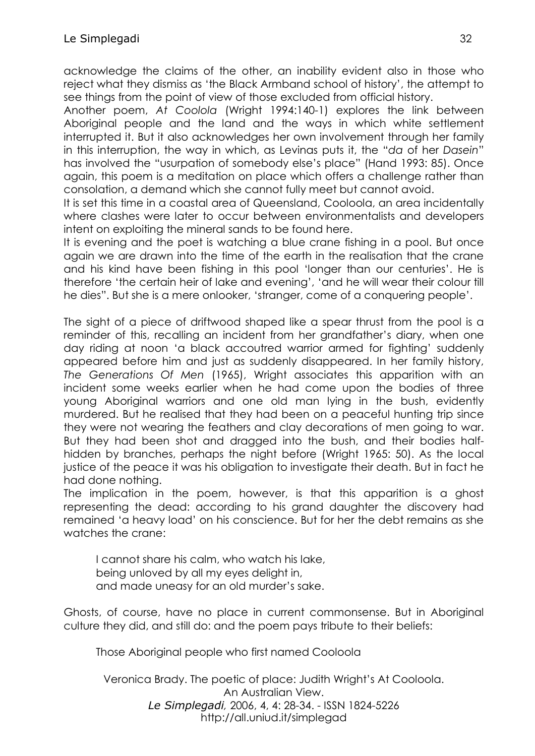acknowledge the claims of the other, an inability evident also in those who reject what they dismiss as 'the Black Armband school of history', the attempt to see things from the point of view of those excluded from official history.

Another poem, *At Coolola* (Wright 1994:140-1) explores the link between Aboriginal people and the land and the ways in which white settlement interrupted it. But it also acknowledges her own involvement through her family in this interruption, the way in which, as Levinas puts it, the "*da* of her *Dasein*" has involved the "usurpation of somebody else's place" (Hand 1993: 85). Once again, this poem is a meditation on place which offers a challenge rather than consolation, a demand which she cannot fully meet but cannot avoid.

It is set this time in a coastal area of Queensland, Cooloola, an area incidentally where clashes were later to occur between environmentalists and developers intent on exploiting the mineral sands to be found here.

It is evening and the poet is watching a blue crane fishing in a pool. But once again we are drawn into the time of the earth in the realisation that the crane and his kind have been fishing in this pool 'longer than our centuries'. He is therefore 'the certain heir of lake and evening', 'and he will wear their colour till he dies". But she is a mere onlooker, 'stranger, come of a conquering people'.

The sight of a piece of driftwood shaped like a spear thrust from the pool is a reminder of this, recalling an incident from her grandfather's diary, when one day riding at noon 'a black accoutred warrior armed for fighting' suddenly appeared before him and just as suddenly disappeared. In her family history, *The Generations Of Men* (1965), Wright associates this apparition with an incident some weeks earlier when he had come upon the bodies of three young Aboriginal warriors and one old man lying in the bush, evidently murdered. But he realised that they had been on a peaceful hunting trip since they were not wearing the feathers and clay decorations of men going to war. But they had been shot and dragged into the bush, and their bodies halfhidden by branches, perhaps the night before (Wright 1965: 50). As the local justice of the peace it was his obligation to investigate their death. But in fact he had done nothing.

The implication in the poem, however, is that this apparition is a ghost representing the dead: according to his grand daughter the discovery had remained 'a heavy load' on his conscience. But for her the debt remains as she watches the crane:

I cannot share his calm, who watch his lake, being unloved by all my eyes delight in, and made uneasy for an old murder's sake.

Ghosts, of course, have no place in current commonsense. But in Aboriginal culture they did, and still do: and the poem pays tribute to their beliefs:

Those Aboriginal people who first named Cooloola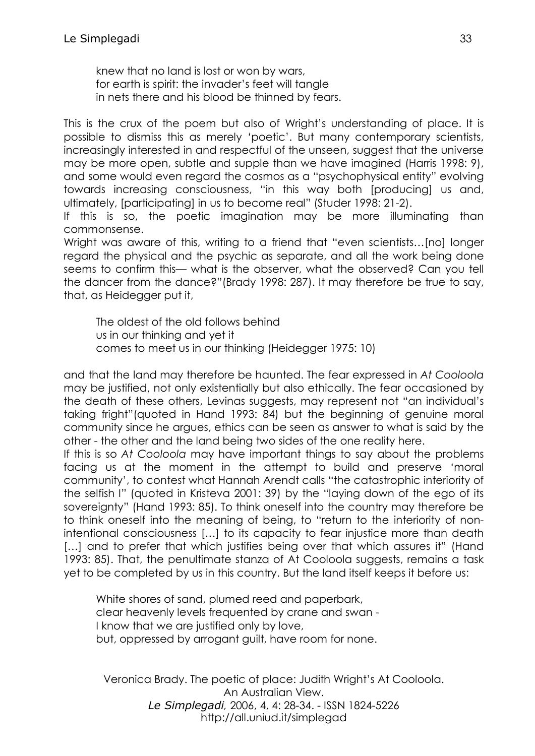knew that no land is lost or won by wars, for earth is spirit: the invader's feet will tangle in nets there and his blood be thinned by fears.

This is the crux of the poem but also of Wright's understanding of place. It is possible to dismiss this as merely 'poetic'. But many contemporary scientists, increasingly interested in and respectful of the unseen, suggest that the universe may be more open, subtle and supple than we have imagined (Harris 1998: 9), and some would even regard the cosmos as a "psychophysical entity" evolving towards increasing consciousness, "in this way both [producing] us and, ultimately, [participating] in us to become real" (Studer 1998: 21-2).

If this is so, the poetic imagination may be more illuminating than commonsense.

Wright was aware of this, writing to a friend that "even scientists...[no] longer regard the physical and the psychic as separate, and all the work being done seems to confirm this— what is the observer, what the observed? Can you tell the dancer from the dance?"(Brady 1998: 287). It may therefore be true to say, that, as Heidegger put it,

The oldest of the old follows behind us in our thinking and yet it comes to meet us in our thinking (Heidegger 1975: 10)

and that the land may therefore be haunted. The fear expressed in *At Cooloola* may be justified, not only existentially but also ethically. The fear occasioned by the death of these others, Levinas suggests, may represent not "an individual's taking fright"(quoted in Hand 1993: 84) but the beginning of genuine moral community since he argues, ethics can be seen as answer to what is said by the other - the other and the land being two sides of the one reality here.

If this is so *At Cooloola* may have important things to say about the problems facing us at the moment in the attempt to build and preserve 'moral community', to contest what Hannah Arendt calls "the catastrophic interiority of the selfish I" (quoted in Kristeva 2001: 39) by the "laying down of the ego of its sovereignty" (Hand 1993: 85). To think oneself into the country may therefore be to think oneself into the meaning of being, to "return to the interiority of nonintentional consciousness […] to its capacity to fear injustice more than death [...] and to prefer that which justifies being over that which assures it" (Hand 1993: 85). That, the penultimate stanza of At Cooloola suggests, remains a task yet to be completed by us in this country. But the land itself keeps it before us:

White shores of sand, plumed reed and paperbark, clear heavenly levels frequented by crane and swan - I know that we are justified only by love, but, oppressed by arrogant guilt, have room for none.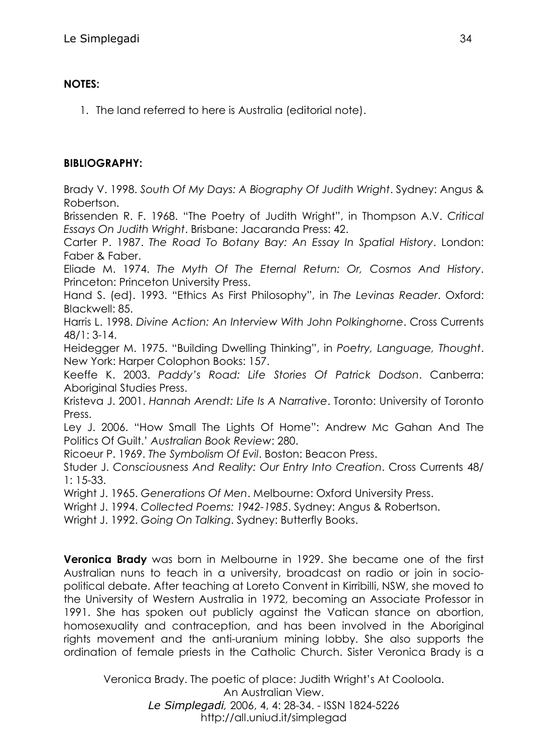## **NOTES:**

1. The land referred to here is Australia (editorial note).

## **BIBLIOGRAPHY:**

Brady V. 1998. *South Of My Days: A Biography Of Judith Wright*. Sydney: Angus & Robertson.

Brissenden R. F. 1968. "The Poetry of Judith Wright", in Thompson A.V. *Critical Essays On Judith Wright*. Brisbane: Jacaranda Press: 42.

Carter P. 1987. *The Road To Botany Bay: An Essay In Spatial History*. London: Faber & Faber.

Eliade M. 1974. *The Myth Of The Eternal Return: Or, Cosmos And History*. Princeton: Princeton University Press.

Hand S. (ed). 1993. "Ethics As First Philosophy", in *The Levinas Reader*. Oxford: Blackwell: 85.

Harris L. 1998. *Divine Action: An Interview With John Polkinghorne*. Cross Currents 48/1: 3-14.

Heidegger M. 1975. "Building Dwelling Thinking", in *Poetry, Language, Thought*. New York: Harper Colophon Books: 157.

Keeffe K. 2003. *Paddy's Road: Life Stories Of Patrick Dodson*. Canberra: Aboriginal Studies Press.

Kristeva J. 2001. *Hannah Arendt: Life Is A Narrative*. Toronto: University of Toronto Press.

Ley J. 2006. "How Small The Lights Of Home": Andrew Mc Gahan And The Politics Of Guilt.' *Australian Book Review*: 280.

Ricoeur P. 1969. *The Symbolism Of Evil*. Boston: Beacon Press.

Studer J. *Consciousness And Reality: Our Entry Into Creation*. Cross Currents 48/ 1: 15-33.

Wright J. 1965. *Generations Of Men*. Melbourne: Oxford University Press.

Wright J. 1994. *Collected Poems: 1942-1985*. Sydney: Angus & Robertson.

Wright J. 1992. *Going On Talking*. Sydney: Butterfly Books.

**Veronica Brady** was born in Melbourne in 1929. She became one of the first Australian nuns to teach in a university, broadcast on radio or join in sociopolitical debate. After teaching at Loreto Convent in Kirribilli, NSW, she moved to the University of Western Australia in 1972, becoming an Associate Professor in 1991. She has spoken out publicly against the Vatican stance on abortion, homosexuality and contraception, and has been involved in the Aboriginal rights movement and the anti-uranium mining lobby. She also supports the ordination of female priests in the Catholic Church. Sister Veronica Brady is a

Veronica Brady. The poetic of place: Judith Wright's At Cooloola.

An Australian View. *Le Simplegadi,* 2006, 4, 4: 28-34. - ISSN 1824-5226 http://all.uniud.it/simplegad